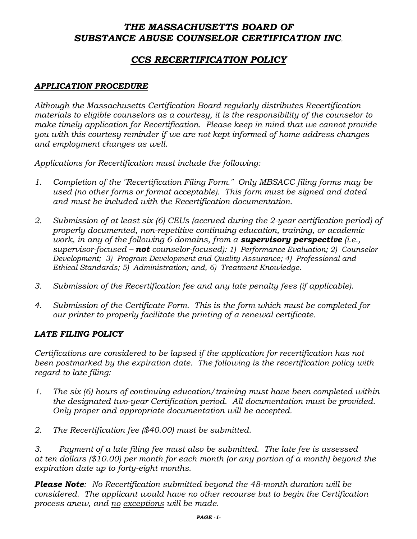# *THE MASSACHUSETTS BOARD OF SUBSTANCE ABUSE COUNSELOR CERTIFICATION INC.*

# *CCS RECERTIFICATION POLICY*

### *APPLICATION PROCEDURE*

*Although the Massachusetts Certification Board regularly distributes Recertification materials to eligible counselors as a courtesy, it is the responsibility of the counselor to make timely application for Recertification. Please keep in mind that we cannot provide you with this courtesy reminder if we are not kept informed of home address changes and employment changes as well.*

*Applications for Recertification must include the following:*

- *1. Completion of the "Recertification Filing Form." Only MBSACC filing forms may be used (no other forms or format acceptable). This form must be signed and dated and must be included with the Recertification documentation.*
- *2. Submission of at least six (6) CEUs (accrued during the 2-year certification period) of properly documented, non-repetitive continuing education, training, or academic work, in any of the following 6 domains, from a supervisory perspective (i.e., supervisor-focused – not counselor-focused): 1) Performance Evaluation; 2) Counselor Development; 3) Program Development and Quality Assurance; 4) Professional and Ethical Standards; 5) Administration; and, 6) Treatment Knowledge.*
- *3. Submission of the Recertification fee and any late penalty fees (if applicable).*
- *4. Submission of the Certificate Form. This is the form which must be completed for our printer to properly facilitate the printing of a renewal certificate.*

#### *LATE FILING POLICY*

*Certifications are considered to be lapsed if the application for recertification has not been postmarked by the expiration date. The following is the recertification policy with regard to late filing:*

- *1. The six (6) hours of continuing education/training must have been completed within the designated two-year Certification period. All documentation must be provided. Only proper and appropriate documentation will be accepted.*
- *2. The Recertification fee (\$40.00) must be submitted.*

*3. Payment of a late filing fee must also be submitted. The late fee is assessed at ten dollars (\$10.00) per month for each month (or any portion of a month) beyond the expiration date up to forty-eight months.*

*Please Note: No Recertification submitted beyond the 48-month duration will be considered. The applicant would have no other recourse but to begin the Certification process anew, and no exceptions will be made.*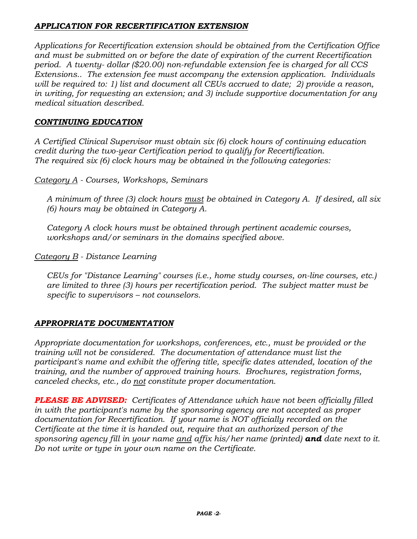## *APPLICATION FOR RECERTIFICATION EXTENSION*

*Applications for Recertification extension should be obtained from the Certification Office and must be submitted on or before the date of expiration of the current Recertification period. A twenty- dollar (\$20.00) non-refundable extension fee is charged for all CCS Extensions.. The extension fee must accompany the extension application. Individuals will be required to: 1) list and document all CEUs accrued to date; 2) provide a reason, in writing, for requesting an extension; and 3) include supportive documentation for any medical situation described.* 

## *CONTINUING EDUCATION*

*A Certified Clinical Supervisor must obtain six (6) clock hours of continuing education credit during the two-year Certification period to qualify for Recertification. The required six (6) clock hours may be obtained in the following categories:*

*Category A - Courses, Workshops, Seminars*

*A minimum of three (3) clock hours must be obtained in Category A. If desired, all six (6) hours may be obtained in Category A.*

*Category A clock hours must be obtained through pertinent academic courses, workshops and/or seminars in the domains specified above.*

*Category B - Distance Learning*

*CEUs for "Distance Learning" courses (i.e., home study courses, on-line courses, etc.) are limited to three (3) hours per recertification period. The subject matter must be specific to supervisors – not counselors.*

## *APPROPRIATE DOCUMENTATION*

*Appropriate documentation for workshops, conferences, etc., must be provided or the training will not be considered. The documentation of attendance must list the participant's name and exhibit the offering title, specific dates attended, location of the training, and the number of approved training hours. Brochures, registration forms, canceled checks, etc., do not constitute proper documentation.*

*PLEASE BE ADVISED: Certificates of Attendance which have not been officially filled in with the participant's name by the sponsoring agency are not accepted as proper documentation for Recertification. If your name is NOT officially recorded on the Certificate at the time it is handed out, require that an authorized person of the sponsoring agency fill in your name and affix his/her name (printed) and date next to it. Do not write or type in your own name on the Certificate.*